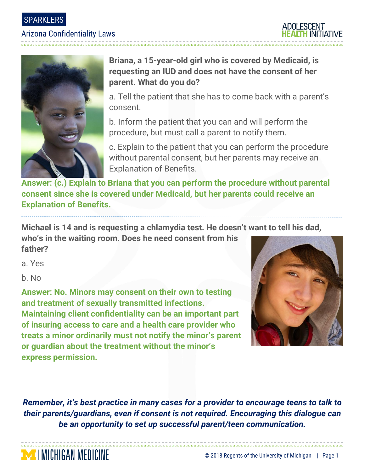

### Arizona Confidentiality Laws





# **Briana, a 15-year-old girl who is covered by Medicaid, is requesting an IUD and does not have the consent of her parent. What do you do?**

a. Tell the patient that she has to come back with a parent's consent.

b. Inform the patient that you can and will perform the procedure, but must call a parent to notify them.

c. Explain to the patient that you can perform the procedure without parental consent, but her parents may receive an Explanation of Benefits.

**Answer: (c.) Explain to Briana that you can perform the procedure without parental consent since she is covered under Medicaid, but her parents could receive an Explanation of Benefits.** 

**Michael is 14 and is requesting a chlamydia test. He doesn't want to tell his dad,** 

**who's in the waiting room. Does he need consent from his father?**

a. Yes

b. No

**MINICHIGAN MEDICINE** 

**Answer: No. Minors may consent on their own to testing and treatment of sexually transmitted infections. Maintaining client confidentiality can be an important part of insuring access to care and a health care provider who treats a minor ordinarily must not notify the minor's parent or guardian about the treatment without the minor's express permission.**



*Remember, it's best practice in many cases for a provider to encourage teens to talk to their parents/guardians, even if consent is not required. Encouraging this dialogue can be an opportunity to set up successful parent/teen communication.*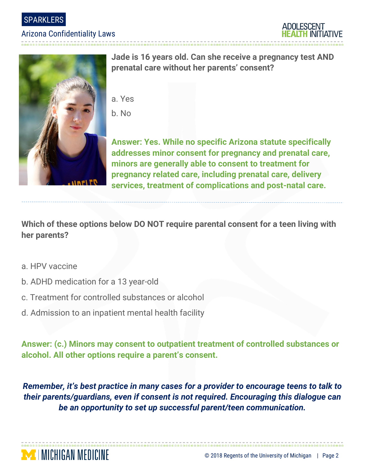SPARKLERS

#### Arizona Confidentiality Laws

----------------------------



**Jade is 16 years old. Can she receive a pregnancy test AND prenatal care without her parents' consent?**

- a. Yes
- b. No

**Answer: Yes. While no specific Arizona statute specifically addresses minor consent for pregnancy and prenatal care, minors are generally able to consent to treatment for pregnancy related care, including prenatal care, delivery services, treatment of complications and post-natal care.**

**Which of these options below DO NOT require parental consent for a teen living with her parents?**

- a. HPV vaccine
- b. ADHD medication for a 13 year-old
- c. Treatment for controlled substances or alcohol
- d. Admission to an inpatient mental health facility

**Answer: (c.) Minors may consent to outpatient treatment of controlled substances or alcohol. All other options require a parent's consent.** 

*Remember, it's best practice in many cases for a provider to encourage teens to talk to their parents/guardians, even if consent is not required. Encouraging this dialogue can be an opportunity to set up successful parent/teen communication.*